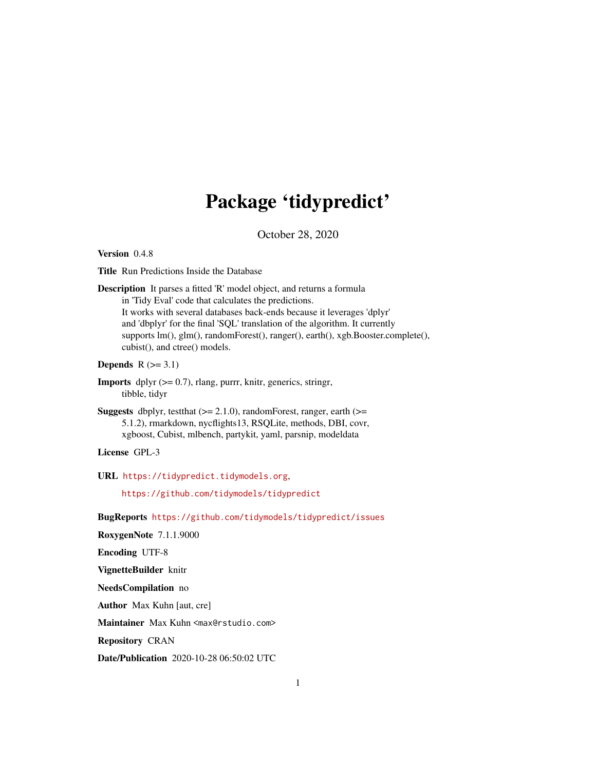## Package 'tidypredict'

October 28, 2020

Version 0.4.8

Title Run Predictions Inside the Database

Description It parses a fitted 'R' model object, and returns a formula in 'Tidy Eval' code that calculates the predictions. It works with several databases back-ends because it leverages 'dplyr' and 'dbplyr' for the final 'SQL' translation of the algorithm. It currently supports lm(), glm(), randomForest(), ranger(), earth(), xgb.Booster.complete(), cubist(), and ctree() models.

Depends  $R$  ( $>= 3.1$ )

- **Imports** dplyr  $(>= 0.7)$ , rlang, purrr, knitr, generics, stringr, tibble, tidyr
- Suggests dbplyr, testthat  $(>= 2.1.0)$ , randomForest, ranger, earth  $(>=$ 5.1.2), rmarkdown, nycflights13, RSQLite, methods, DBI, covr, xgboost, Cubist, mlbench, partykit, yaml, parsnip, modeldata

License GPL-3

URL <https://tidypredict.tidymodels.org>,

<https://github.com/tidymodels/tidypredict>

BugReports <https://github.com/tidymodels/tidypredict/issues>

RoxygenNote 7.1.1.9000

Encoding UTF-8

VignetteBuilder knitr

NeedsCompilation no

Author Max Kuhn [aut, cre]

Maintainer Max Kuhn <max@rstudio.com>

Repository CRAN

Date/Publication 2020-10-28 06:50:02 UTC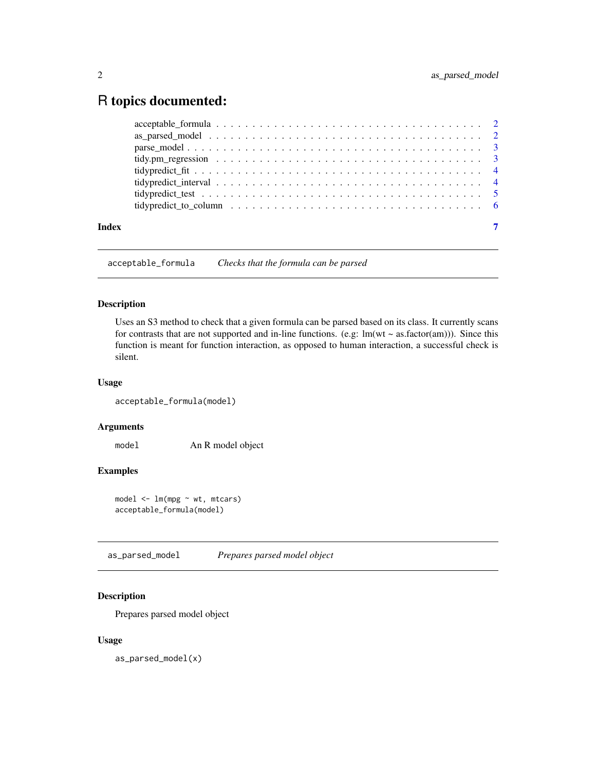### <span id="page-1-0"></span>R topics documented:

| Index |  |
|-------|--|

acceptable\_formula *Checks that the formula can be parsed*

#### Description

Uses an S3 method to check that a given formula can be parsed based on its class. It currently scans for contrasts that are not supported and in-line functions. (e.g:  $lm(wt \sim as.factor(am))$ ). Since this function is meant for function interaction, as opposed to human interaction, a successful check is silent.

#### Usage

acceptable\_formula(model)

#### Arguments

model An R model object

#### Examples

model <- lm(mpg ~ wt, mtcars) acceptable\_formula(model)

as\_parsed\_model *Prepares parsed model object*

#### Description

Prepares parsed model object

#### Usage

as\_parsed\_model(x)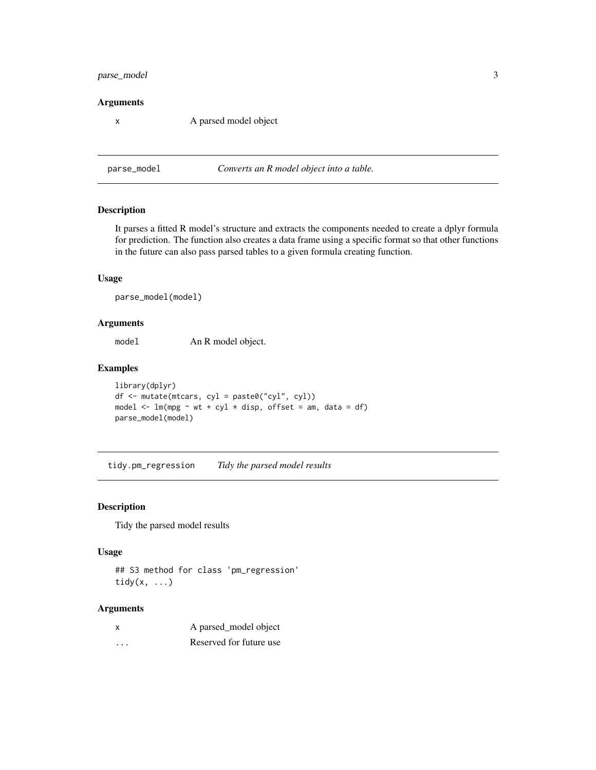#### <span id="page-2-0"></span>parse\_model 3

#### Arguments

x A parsed model object

#### parse\_model *Converts an R model object into a table.*

#### Description

It parses a fitted R model's structure and extracts the components needed to create a dplyr formula for prediction. The function also creates a data frame using a specific format so that other functions in the future can also pass parsed tables to a given formula creating function.

#### Usage

parse\_model(model)

#### Arguments

model An R model object.

#### Examples

library(dplyr) df <- mutate(mtcars, cyl = paste0("cyl", cyl)) model  $\leq$  lm(mpg  $\sim$  wt + cyl  $\star$  disp, offset = am, data = df) parse\_model(model)

tidy.pm\_regression *Tidy the parsed model results*

#### Description

Tidy the parsed model results

#### Usage

## S3 method for class 'pm\_regression' tidy $(x, \ldots)$ 

#### Arguments

|          | A parsed_model object   |
|----------|-------------------------|
| $\cdots$ | Reserved for future use |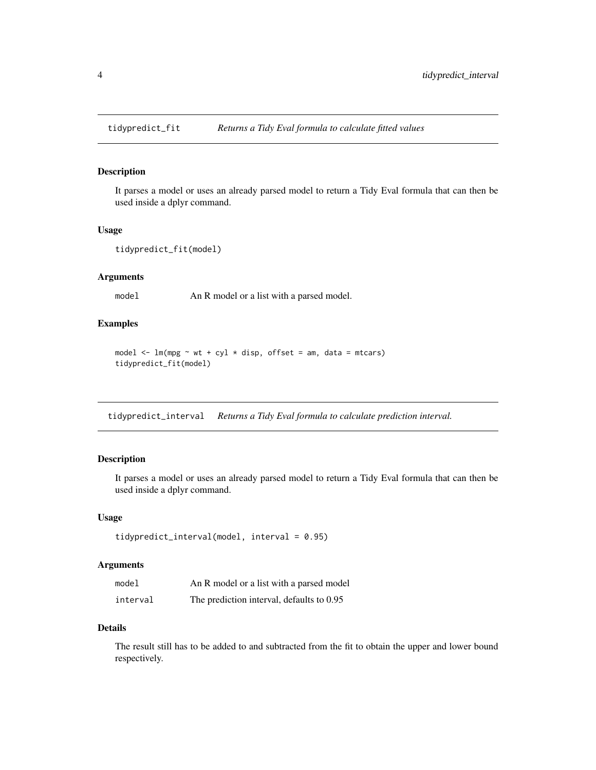<span id="page-3-0"></span>

#### Description

It parses a model or uses an already parsed model to return a Tidy Eval formula that can then be used inside a dplyr command.

#### Usage

```
tidypredict_fit(model)
```
#### Arguments

model An R model or a list with a parsed model.

#### Examples

model  $\leq$  lm(mpg  $\sim$  wt + cyl  $\star$  disp, offset = am, data = mtcars) tidypredict\_fit(model)

tidypredict\_interval *Returns a Tidy Eval formula to calculate prediction interval.*

#### Description

It parses a model or uses an already parsed model to return a Tidy Eval formula that can then be used inside a dplyr command.

#### Usage

```
tidypredict_interval(model, interval = 0.95)
```
#### Arguments

| model    | An R model or a list with a parsed model  |
|----------|-------------------------------------------|
| interval | The prediction interval, defaults to 0.95 |

#### Details

The result still has to be added to and subtracted from the fit to obtain the upper and lower bound respectively.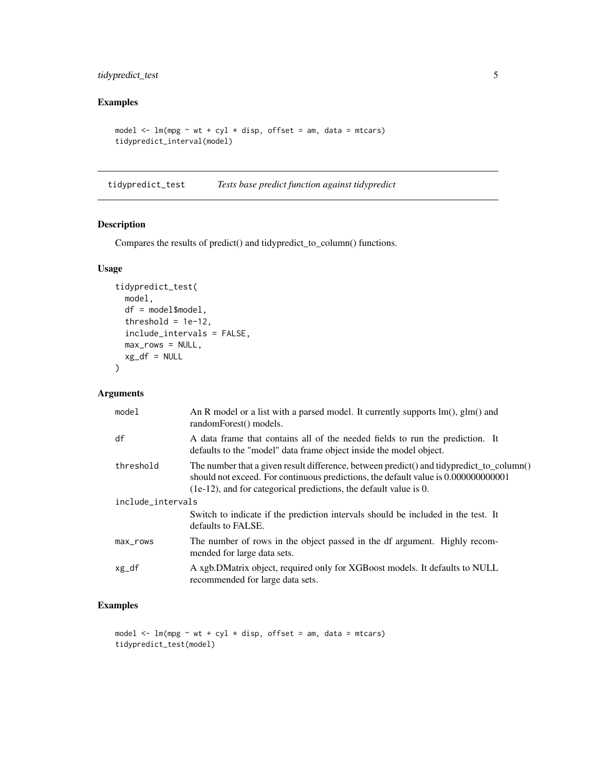#### <span id="page-4-0"></span>tidypredict\_test 5

#### Examples

```
model \leq lm(mpg \sim wt + cyl \star disp, offset = am, data = mtcars)
tidypredict_interval(model)
```
tidypredict\_test *Tests base predict function against tidypredict*

#### Description

Compares the results of predict() and tidypredict\_to\_column() functions.

#### Usage

```
tidypredict_test(
  model,
  df = model$model,
  threshold = 1e-12,
  include_intervals = FALSE,
  max_{rows} = NULL,xg_df = NULL
\mathcal{L}
```
#### Arguments

| model             | An R model or a list with a parsed model. It currently supports $lm()$ , $glm()$ and<br>randomForest() models.                                                                                                                                         |  |  |  |
|-------------------|--------------------------------------------------------------------------------------------------------------------------------------------------------------------------------------------------------------------------------------------------------|--|--|--|
| df                | A data frame that contains all of the needed fields to run the prediction. It<br>defaults to the "model" data frame object inside the model object.                                                                                                    |  |  |  |
| threshold         | The number that a given result difference, between predict() and tidypredict_to_column()<br>should not exceed. For continuous predictions, the default value is 0.000000000001<br>$(1e-12)$ , and for categorical predictions, the default value is 0. |  |  |  |
| include_intervals |                                                                                                                                                                                                                                                        |  |  |  |
|                   | Switch to indicate if the prediction intervals should be included in the test. It<br>defaults to FALSE.                                                                                                                                                |  |  |  |
| max_rows          | The number of rows in the object passed in the df argument. Highly recom-<br>mended for large data sets.                                                                                                                                               |  |  |  |
| xg_df             | A xgb.DMatrix object, required only for XGBoost models. It defaults to NULL<br>recommended for large data sets.                                                                                                                                        |  |  |  |

#### Examples

```
model \leq lm(mpg \sim wt + cyl \star disp, offset = am, data = mtcars)
tidypredict_test(model)
```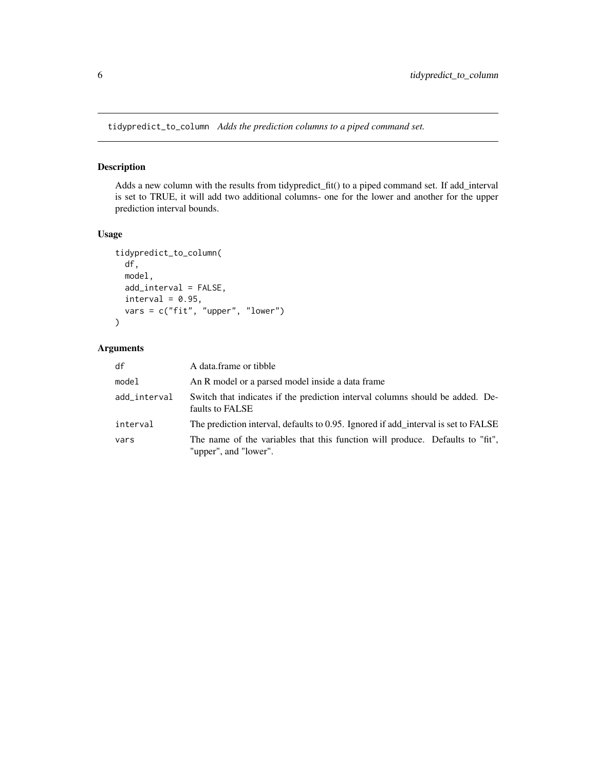<span id="page-5-0"></span>tidypredict\_to\_column *Adds the prediction columns to a piped command set.*

#### Description

Adds a new column with the results from tidypredict\_fit() to a piped command set. If add\_interval is set to TRUE, it will add two additional columns- one for the lower and another for the upper prediction interval bounds.

#### Usage

```
tidypredict_to_column(
  df,
  model,
  add_interval = FALSE,
  interval = 0.95,vars = c("fit", "upper", "lower")
\overline{\phantom{a}}
```
#### Arguments

| df           | A data frame or tibble                                                                                 |
|--------------|--------------------------------------------------------------------------------------------------------|
| model        | An R model or a parsed model inside a data frame                                                       |
| add_interval | Switch that indicates if the prediction interval columns should be added. De-<br>faults to FALSE       |
| interval     | The prediction interval, defaults to 0.95. Ignored if add interval is set to FALSE                     |
| vars         | The name of the variables that this function will produce. Defaults to "fit",<br>"upper", and "lower". |